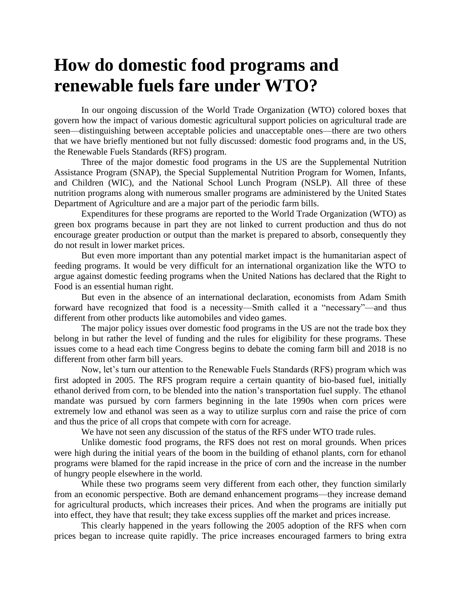## **How do domestic food programs and renewable fuels fare under WTO?**

In our ongoing discussion of the World Trade Organization (WTO) colored boxes that govern how the impact of various domestic agricultural support policies on agricultural trade are seen—distinguishing between acceptable policies and unacceptable ones—there are two others that we have briefly mentioned but not fully discussed: domestic food programs and, in the US, the Renewable Fuels Standards (RFS) program.

Three of the major domestic food programs in the US are the Supplemental Nutrition Assistance Program (SNAP), the Special Supplemental Nutrition Program for Women, Infants, and Children (WIC), and the National School Lunch Program (NSLP). All three of these nutrition programs along with numerous smaller programs are administered by the United States Department of Agriculture and are a major part of the periodic farm bills.

Expenditures for these programs are reported to the World Trade Organization (WTO) as green box programs because in part they are not linked to current production and thus do not encourage greater production or output than the market is prepared to absorb, consequently they do not result in lower market prices.

But even more important than any potential market impact is the humanitarian aspect of feeding programs. It would be very difficult for an international organization like the WTO to argue against domestic feeding programs when the United Nations has declared that the Right to Food is an essential human right.

But even in the absence of an international declaration, economists from Adam Smith forward have recognized that food is a necessity—Smith called it a "necessary"—and thus different from other products like automobiles and video games.

The major policy issues over domestic food programs in the US are not the trade box they belong in but rather the level of funding and the rules for eligibility for these programs. These issues come to a head each time Congress begins to debate the coming farm bill and 2018 is no different from other farm bill years.

Now, let's turn our attention to the Renewable Fuels Standards (RFS) program which was first adopted in 2005. The RFS program require a certain quantity of bio-based fuel, initially ethanol derived from corn, to be blended into the nation's transportation fuel supply. The ethanol mandate was pursued by corn farmers beginning in the late 1990s when corn prices were extremely low and ethanol was seen as a way to utilize surplus corn and raise the price of corn and thus the price of all crops that compete with corn for acreage.

We have not seen any discussion of the status of the RFS under WTO trade rules.

Unlike domestic food programs, the RFS does not rest on moral grounds. When prices were high during the initial years of the boom in the building of ethanol plants, corn for ethanol programs were blamed for the rapid increase in the price of corn and the increase in the number of hungry people elsewhere in the world.

While these two programs seem very different from each other, they function similarly from an economic perspective. Both are demand enhancement programs—they increase demand for agricultural products, which increases their prices. And when the programs are initially put into effect, they have that result; they take excess supplies off the market and prices increase.

This clearly happened in the years following the 2005 adoption of the RFS when corn prices began to increase quite rapidly. The price increases encouraged farmers to bring extra